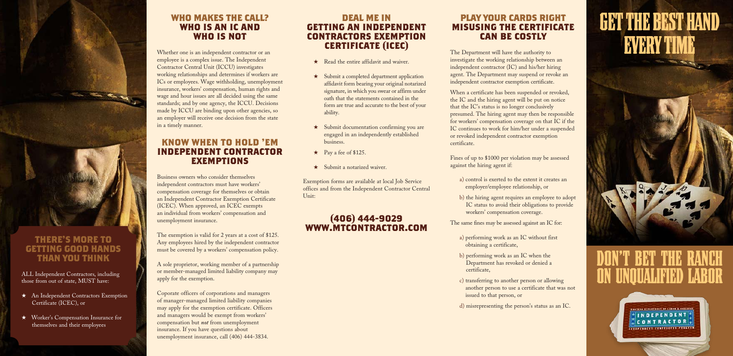

### **There's more to getting good hands than you think**

ALL Independent Contractors, including those from out of state, MUST have:

- \* An Independent Contractors Exemption Certificate (ICEC), or
- ★ Worker's Compensation Insurance for themselves and their employees

### **deal me in getting an Independent Contractors Exemption Certificate (ICEC)**

- $\star$  Read the entire affidavit and waiver.
- $\star$  Submit a completed department application affidavit form bearing your original notarized signature, in which you swear or affirm under oath that the statements contained in the form are true and accurate to the best of your ability.
- $\star$  Submit documentation confirming you are engaged in an independently established business.
- $\star$  Pay a fee of \$125.
- $\star$  Submit a notarized waiver.

Exemption forms are available at local Job Service offices and from the Independent Contractor Central Unit:

### **(406) 444-9029 www.mtcontractor.com**

### **play your cards right Misusing the Certificate Can be Costly**

The Department will have the authority to investigate the working relationship between an independent contractor (IC) and his/her hiring agent. The Department may suspend or revoke an independent contractor exemption certificate.

When a certificate has been suspended or revoked, the IC and the hiring agent will be put on notice that the IC's status is no longer conclusively presumed. The hiring agent may then be responsible for workers' compensation coverage on that IC if the IC continues to work for him/her under a suspended or revoked independent contractor exemption certificate.

Fines of up to \$1000 per violation may be assessed against the hiring agent if:

- a) control is exerted to the extent it creates an employer/employee relationship, or
- b) the hiring agent requires an employee to adopt IC status to avoid their obligations to provide workers' compensation coverage.

The same fines may be assessed against an IC for:

- a) performing work as an IC without first obtaining a certificate,
- b) performing work as an IC when the Department has revoked or denied a certificate,
- c) transferring to another person or allowing another person to use a certificate that was not issued to that person, or
- d) misrepresenting the person's status as an IC.

# GET THE BEST HAND **EVERY TIME**

# DON'T BET THE ON UNOUALIFIED LA

MONTANA DEPARTMENT OF LANGE & INSTITUTE **FINDEPENDENT!** CONTRACTOR \*\*\*\*\*\*\*\*\*\*\* \*\*\*\*\*\*\*\*\*\* \*\*\*\*\*\*\*

### **Who makes the call? who is an ic and who is not**

Whether one is an independent contractor or an employee is a complex issue. The Independent Contractor Central Unit (ICCU) investigates working relationships and determines if workers are ICs or employees. Wage withholding, unemployment insurance, workers' compensation, human rights and wage and hour issues are all decided using the same standards; and by one agency, the ICCU. Decisions made by ICCU are binding upon other agencies, so an employer will receive one decision from the state in a timely manner.

### **know when to hold 'em Independent Contractor Exemptions**

Business owners who consider themselves independent contractors must have workers' compensation coverage for themselves or obtain an Independent Contractor Exemption Certificate (ICEC). When approved, an ICEC exempts an individual from workers' compensation and unemployment insurance.

The exemption is valid for 2 years at a cost of \$125. Any employees hired by the independent contractor must be covered by a workers' compensation policy.

A sole proprietor, working member of a partnership or member-managed limited liability company may apply for the exemption.

Coporate officers of corporations and managers of manager-managed limited liability companies may apply for the exemption certificate. Officers and managers would be exempt from workers' compensation but *not* from unemployment insurance. If you have questions about unemployment insurance, call (406) 444-3834.